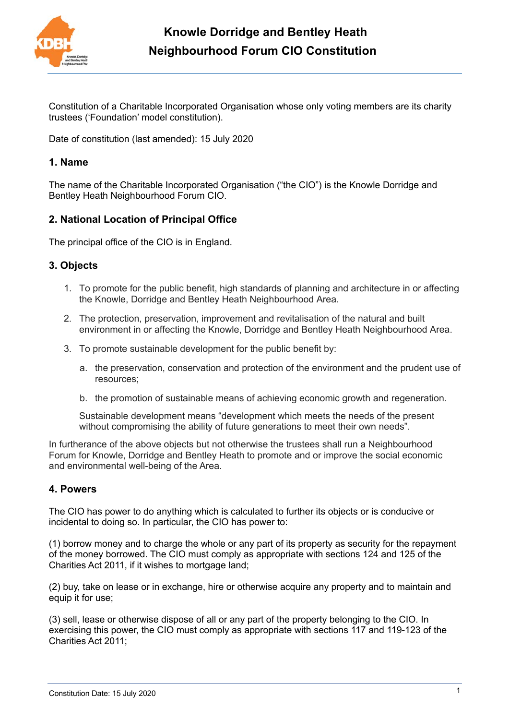

Constitution of a Charitable Incorporated Organisation whose only voting members are its charity trustees ('Foundation' model constitution).

Date of constitution (last amended): 15 July 2020

### **1. Name**

The name of the Charitable Incorporated Organisation ("the CIO") is the Knowle Dorridge and Bentley Heath Neighbourhood Forum CIO.

### **2. National Location of Principal Office**

The principal office of the CIO is in England.

#### **3. Objects**

- 1. To promote for the public benefit, high standards of planning and architecture in or affecting the Knowle, Dorridge and Bentley Heath Neighbourhood Area.
- 2. The protection, preservation, improvement and revitalisation of the natural and built environment in or affecting the Knowle, Dorridge and Bentley Heath Neighbourhood Area.
- 3. To promote sustainable development for the public benefit by:
	- a. the preservation, conservation and protection of the environment and the prudent use of resources;
	- b. the promotion of sustainable means of achieving economic growth and regeneration.

Sustainable development means "development which meets the needs of the present without compromising the ability of future generations to meet their own needs".

In furtherance of the above objects but not otherwise the trustees shall run a Neighbourhood Forum for Knowle, Dorridge and Bentley Heath to promote and or improve the social economic and environmental well-being of the Area.

### **4. Powers**

The CIO has power to do anything which is calculated to further its objects or is conducive or incidental to doing so. In particular, the CIO has power to:

(1) borrow money and to charge the whole or any part of its property as security for the repayment of the money borrowed. The CIO must comply as appropriate with sections 124 and 125 of the Charities Act 2011, if it wishes to mortgage land;

(2) buy, take on lease or in exchange, hire or otherwise acquire any property and to maintain and equip it for use;

(3) sell, lease or otherwise dispose of all or any part of the property belonging to the CIO. In exercising this power, the CIO must comply as appropriate with sections 117 and 119-123 of the Charities Act 2011;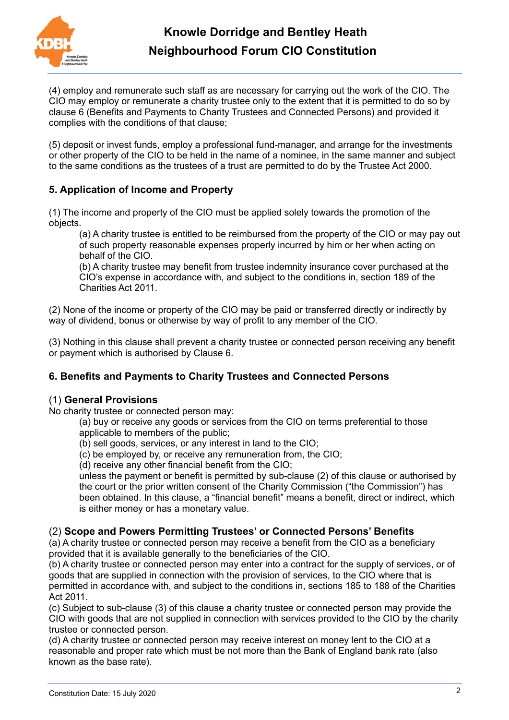

(4) employ and remunerate such staff as are necessary for carrying out the work of the CIO. The CIO may employ or remunerate a charity trustee only to the extent that it is permitted to do so by clause 6 (Benefits and Payments to Charity Trustees and Connected Persons) and provided it complies with the conditions of that clause;

(5) deposit or invest funds, employ a professional fund-manager, and arrange for the investments or other property of the CIO to be held in the name of a nominee, in the same manner and subject to the same conditions as the trustees of a trust are permitted to do by the Trustee Act 2000.

# **5. Application of Income and Property**

(1) The income and property of the CIO must be applied solely towards the promotion of the objects.

(a) A charity trustee is entitled to be reimbursed from the property of the CIO or may pay out of such property reasonable expenses properly incurred by him or her when acting on behalf of the CIO.

(b) A charity trustee may benefit from trustee indemnity insurance cover purchased at the CIO's expense in accordance with, and subject to the conditions in, section 189 of the Charities Act 2011.

(2) None of the income or property of the CIO may be paid or transferred directly or indirectly by way of dividend, bonus or otherwise by way of profit to any member of the CIO.

(3) Nothing in this clause shall prevent a charity trustee or connected person receiving any benefit or payment which is authorised by Clause 6.

# **6. Benefits and Payments to Charity Trustees and Connected Persons**

### (1) **General Provisions**

No charity trustee or connected person may:

(a) buy or receive any goods or services from the CIO on terms preferential to those applicable to members of the public;

(b) sell goods, services, or any interest in land to the CIO;

(c) be employed by, or receive any remuneration from, the CIO;

(d) receive any other financial benefit from the CIO;

unless the payment or benefit is permitted by sub-clause (2) of this clause or authorised by the court or the prior written consent of the Charity Commission ("the Commission") has been obtained. In this clause, a "financial benefit" means a benefit, direct or indirect, which is either money or has a monetary value.

### (2) **Scope and Powers Permitting Trustees' or Connected Persons' Benefits**

(a) A charity trustee or connected person may receive a benefit from the CIO as a beneficiary provided that it is available generally to the beneficiaries of the CIO.

(b) A charity trustee or connected person may enter into a contract for the supply of services, or of goods that are supplied in connection with the provision of services, to the CIO where that is permitted in accordance with, and subject to the conditions in, sections 185 to 188 of the Charities Act 2011.

(c) Subject to sub-clause (3) of this clause a charity trustee or connected person may provide the CIO with goods that are not supplied in connection with services provided to the CIO by the charity trustee or connected person.

(d) A charity trustee or connected person may receive interest on money lent to the CIO at a reasonable and proper rate which must be not more than the Bank of England bank rate (also known as the base rate).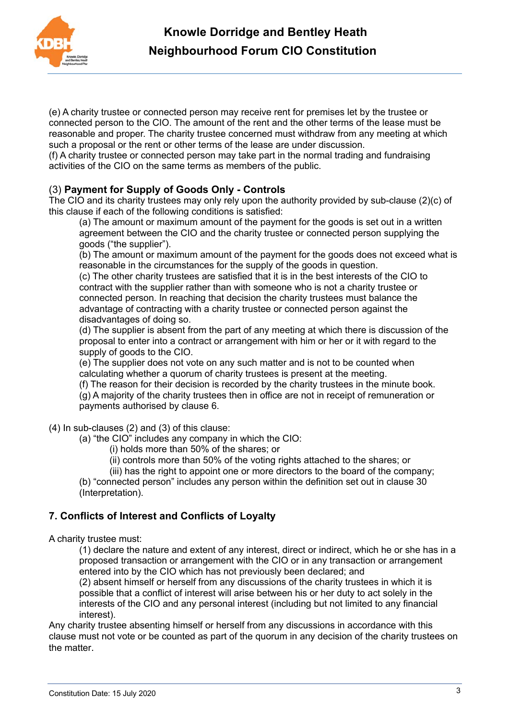

(e) A charity trustee or connected person may receive rent for premises let by the trustee or connected person to the CIO. The amount of the rent and the other terms of the lease must be reasonable and proper. The charity trustee concerned must withdraw from any meeting at which such a proposal or the rent or other terms of the lease are under discussion.

(f) A charity trustee or connected person may take part in the normal trading and fundraising activities of the CIO on the same terms as members of the public.

# (3) **Payment for Supply of Goods Only - Controls**

The CIO and its charity trustees may only rely upon the authority provided by sub-clause (2)(c) of this clause if each of the following conditions is satisfied:

(a) The amount or maximum amount of the payment for the goods is set out in a written agreement between the CIO and the charity trustee or connected person supplying the goods ("the supplier").

(b) The amount or maximum amount of the payment for the goods does not exceed what is reasonable in the circumstances for the supply of the goods in question.

(c) The other charity trustees are satisfied that it is in the best interests of the CIO to contract with the supplier rather than with someone who is not a charity trustee or connected person. In reaching that decision the charity trustees must balance the advantage of contracting with a charity trustee or connected person against the disadvantages of doing so.

(d) The supplier is absent from the part of any meeting at which there is discussion of the proposal to enter into a contract or arrangement with him or her or it with regard to the supply of goods to the CIO.

(e) The supplier does not vote on any such matter and is not to be counted when calculating whether a quorum of charity trustees is present at the meeting.

(f) The reason for their decision is recorded by the charity trustees in the minute book.

(g) A majority of the charity trustees then in office are not in receipt of remuneration or payments authorised by clause 6.

(4) In sub-clauses (2) and (3) of this clause:

(a) "the CIO" includes any company in which the CIO:

(i) holds more than 50% of the shares; or

(ii) controls more than 50% of the voting rights attached to the shares; or

(iii) has the right to appoint one or more directors to the board of the company;

(b) "connected person" includes any person within the definition set out in clause 30 (Interpretation).

# **7. Conflicts of Interest and Conflicts of Loyalty**

A charity trustee must:

(1) declare the nature and extent of any interest, direct or indirect, which he or she has in a proposed transaction or arrangement with the CIO or in any transaction or arrangement entered into by the CIO which has not previously been declared; and

(2) absent himself or herself from any discussions of the charity trustees in which it is possible that a conflict of interest will arise between his or her duty to act solely in the interests of the CIO and any personal interest (including but not limited to any financial interest).

Any charity trustee absenting himself or herself from any discussions in accordance with this clause must not vote or be counted as part of the quorum in any decision of the charity trustees on the matter.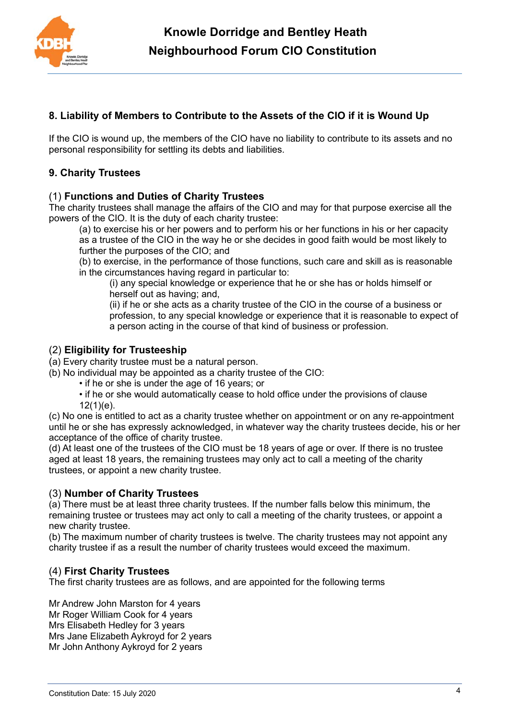

# **8. Liability of Members to Contribute to the Assets of the CIO if it is Wound Up**

If the CIO is wound up, the members of the CIO have no liability to contribute to its assets and no personal responsibility for settling its debts and liabilities.

# **9. Charity Trustees**

### (1) **Functions and Duties of Charity Trustees**

The charity trustees shall manage the affairs of the CIO and may for that purpose exercise all the powers of the CIO. It is the duty of each charity trustee:

(a) to exercise his or her powers and to perform his or her functions in his or her capacity as a trustee of the CIO in the way he or she decides in good faith would be most likely to further the purposes of the CIO; and

(b) to exercise, in the performance of those functions, such care and skill as is reasonable in the circumstances having regard in particular to:

(i) any special knowledge or experience that he or she has or holds himself or herself out as having; and,

(ii) if he or she acts as a charity trustee of the CIO in the course of a business or profession, to any special knowledge or experience that it is reasonable to expect of a person acting in the course of that kind of business or profession.

### (2) **Eligibility for Trusteeship**

- (a) Every charity trustee must be a natural person.
- (b) No individual may be appointed as a charity trustee of the CIO:
	- if he or she is under the age of 16 years; or
		- if he or she would automatically cease to hold office under the provisions of clause 12(1)(e).

(c) No one is entitled to act as a charity trustee whether on appointment or on any re-appointment until he or she has expressly acknowledged, in whatever way the charity trustees decide, his or her acceptance of the office of charity trustee.

(d) At least one of the trustees of the CIO must be 18 years of age or over. If there is no trustee aged at least 18 years, the remaining trustees may only act to call a meeting of the charity trustees, or appoint a new charity trustee.

### (3) **Number of Charity Trustees**

(a) There must be at least three charity trustees. If the number falls below this minimum, the remaining trustee or trustees may act only to call a meeting of the charity trustees, or appoint a new charity trustee.

(b) The maximum number of charity trustees is twelve. The charity trustees may not appoint any charity trustee if as a result the number of charity trustees would exceed the maximum.

### (4) **First Charity Trustees**

The first charity trustees are as follows, and are appointed for the following terms

Mr Andrew John Marston for 4 years Mr Roger William Cook for 4 years Mrs Elisabeth Hedley for 3 years Mrs Jane Elizabeth Aykroyd for 2 years Mr John Anthony Aykroyd for 2 years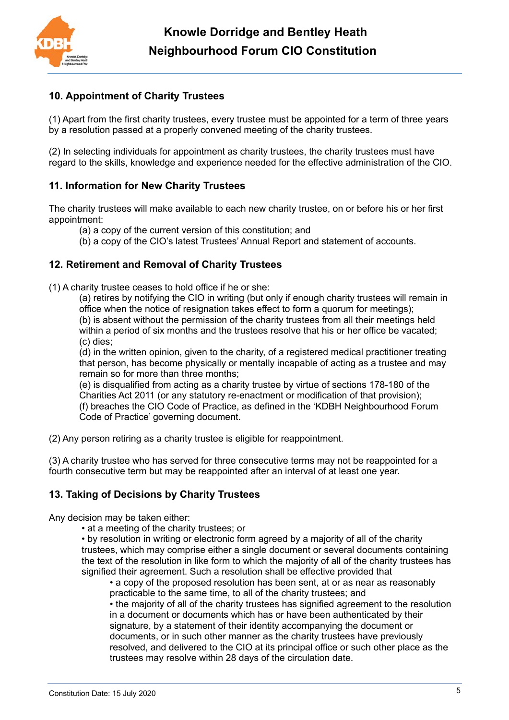

# **10. Appointment of Charity Trustees**

(1) Apart from the first charity trustees, every trustee must be appointed for a term of three years by a resolution passed at a properly convened meeting of the charity trustees.

(2) In selecting individuals for appointment as charity trustees, the charity trustees must have regard to the skills, knowledge and experience needed for the effective administration of the CIO.

# **11. Information for New Charity Trustees**

The charity trustees will make available to each new charity trustee, on or before his or her first appointment:

- (a) a copy of the current version of this constitution; and
- (b) a copy of the CIO's latest Trustees' Annual Report and statement of accounts.

# **12. Retirement and Removal of Charity Trustees**

(1) A charity trustee ceases to hold office if he or she:

(a) retires by notifying the CIO in writing (but only if enough charity trustees will remain in office when the notice of resignation takes effect to form a quorum for meetings); (b) is absent without the permission of the charity trustees from all their meetings held within a period of six months and the trustees resolve that his or her office be vacated; (c) dies;

(d) in the written opinion, given to the charity, of a registered medical practitioner treating that person, has become physically or mentally incapable of acting as a trustee and may remain so for more than three months;

(e) is disqualified from acting as a charity trustee by virtue of sections 178-180 of the Charities Act 2011 (or any statutory re-enactment or modification of that provision); (f) breaches the CIO Code of Practice, as defined in the 'KDBH Neighbourhood Forum Code of Practice' governing document.

(2) Any person retiring as a charity trustee is eligible for reappointment.

(3) A charity trustee who has served for three consecutive terms may not be reappointed for a fourth consecutive term but may be reappointed after an interval of at least one year.

# **13. Taking of Decisions by Charity Trustees**

Any decision may be taken either:

• at a meeting of the charity trustees; or

• by resolution in writing or electronic form agreed by a majority of all of the charity trustees, which may comprise either a single document or several documents containing the text of the resolution in like form to which the majority of all of the charity trustees has signified their agreement. Such a resolution shall be effective provided that

• a copy of the proposed resolution has been sent, at or as near as reasonably practicable to the same time, to all of the charity trustees; and • the majority of all of the charity trustees has signified agreement to the resolution in a document or documents which has or have been authenticated by their signature, by a statement of their identity accompanying the document or documents, or in such other manner as the charity trustees have previously resolved, and delivered to the CIO at its principal office or such other place as the trustees may resolve within 28 days of the circulation date.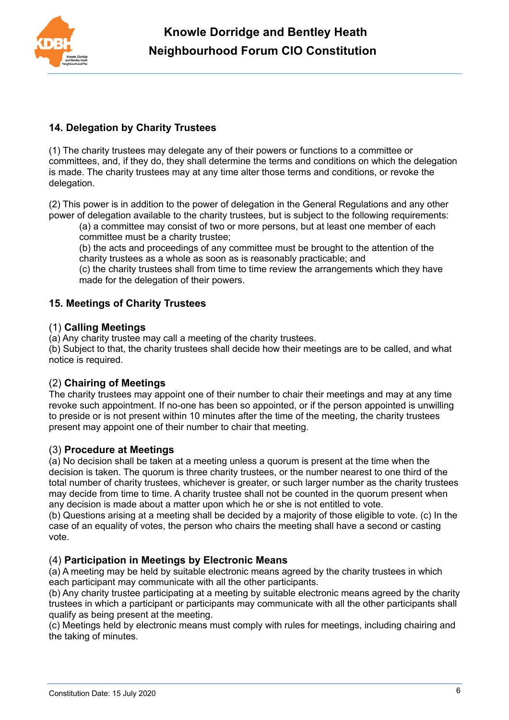

# **14. Delegation by Charity Trustees**

(1) The charity trustees may delegate any of their powers or functions to a committee or committees, and, if they do, they shall determine the terms and conditions on which the delegation is made. The charity trustees may at any time alter those terms and conditions, or revoke the delegation.

(2) This power is in addition to the power of delegation in the General Regulations and any other power of delegation available to the charity trustees, but is subject to the following requirements:

(a) a committee may consist of two or more persons, but at least one member of each committee must be a charity trustee;

(b) the acts and proceedings of any committee must be brought to the attention of the charity trustees as a whole as soon as is reasonably practicable; and

(c) the charity trustees shall from time to time review the arrangements which they have made for the delegation of their powers.

### **15. Meetings of Charity Trustees**

#### (1) **Calling Meetings**

(a) Any charity trustee may call a meeting of the charity trustees.

(b) Subject to that, the charity trustees shall decide how their meetings are to be called, and what notice is required.

### (2) **Chairing of Meetings**

The charity trustees may appoint one of their number to chair their meetings and may at any time revoke such appointment. If no-one has been so appointed, or if the person appointed is unwilling to preside or is not present within 10 minutes after the time of the meeting, the charity trustees present may appoint one of their number to chair that meeting.

### (3) **Procedure at Meetings**

(a) No decision shall be taken at a meeting unless a quorum is present at the time when the decision is taken. The quorum is three charity trustees, or the number nearest to one third of the total number of charity trustees, whichever is greater, or such larger number as the charity trustees may decide from time to time. A charity trustee shall not be counted in the quorum present when any decision is made about a matter upon which he or she is not entitled to vote.

(b) Questions arising at a meeting shall be decided by a majority of those eligible to vote. (c) In the case of an equality of votes, the person who chairs the meeting shall have a second or casting vote.

### (4) **Participation in Meetings by Electronic Means**

(a) A meeting may be held by suitable electronic means agreed by the charity trustees in which each participant may communicate with all the other participants.

(b) Any charity trustee participating at a meeting by suitable electronic means agreed by the charity trustees in which a participant or participants may communicate with all the other participants shall qualify as being present at the meeting.

(c) Meetings held by electronic means must comply with rules for meetings, including chairing and the taking of minutes.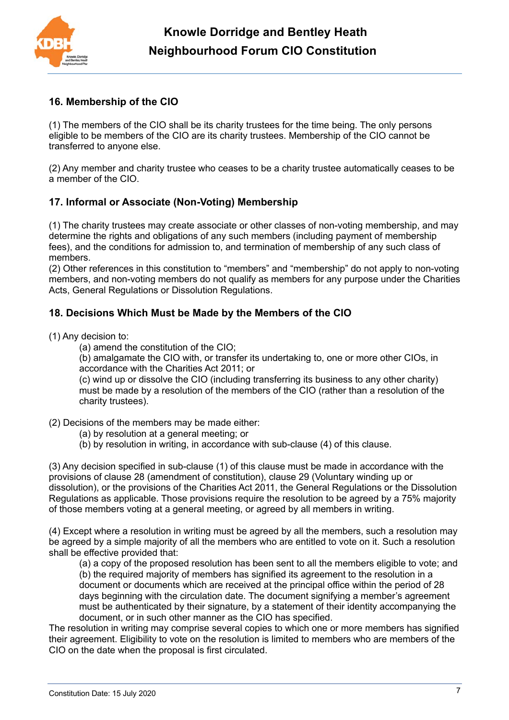

# **16. Membership of the CIO**

(1) The members of the CIO shall be its charity trustees for the time being. The only persons eligible to be members of the CIO are its charity trustees. Membership of the CIO cannot be transferred to anyone else.

(2) Any member and charity trustee who ceases to be a charity trustee automatically ceases to be a member of the CIO.

# **17. Informal or Associate (Non-Voting) Membership**

(1) The charity trustees may create associate or other classes of non-voting membership, and may determine the rights and obligations of any such members (including payment of membership fees), and the conditions for admission to, and termination of membership of any such class of members.

(2) Other references in this constitution to "members" and "membership" do not apply to non-voting members, and non-voting members do not qualify as members for any purpose under the Charities Acts, General Regulations or Dissolution Regulations.

# **18. Decisions Which Must be Made by the Members of the CIO**

(1) Any decision to:

(a) amend the constitution of the CIO;

(b) amalgamate the CIO with, or transfer its undertaking to, one or more other CIOs, in accordance with the Charities Act 2011; or

(c) wind up or dissolve the CIO (including transferring its business to any other charity) must be made by a resolution of the members of the CIO (rather than a resolution of the charity trustees).

### (2) Decisions of the members may be made either:

- (a) by resolution at a general meeting; or
- (b) by resolution in writing, in accordance with sub-clause (4) of this clause.

(3) Any decision specified in sub-clause (1) of this clause must be made in accordance with the provisions of clause 28 (amendment of constitution), clause 29 (Voluntary winding up or dissolution), or the provisions of the Charities Act 2011, the General Regulations or the Dissolution Regulations as applicable. Those provisions require the resolution to be agreed by a 75% majority of those members voting at a general meeting, or agreed by all members in writing.

(4) Except where a resolution in writing must be agreed by all the members, such a resolution may be agreed by a simple majority of all the members who are entitled to vote on it. Such a resolution shall be effective provided that:

(a) a copy of the proposed resolution has been sent to all the members eligible to vote; and (b) the required majority of members has signified its agreement to the resolution in a document or documents which are received at the principal office within the period of 28 days beginning with the circulation date. The document signifying a member's agreement must be authenticated by their signature, by a statement of their identity accompanying the document, or in such other manner as the CIO has specified.

The resolution in writing may comprise several copies to which one or more members has signified their agreement. Eligibility to vote on the resolution is limited to members who are members of the CIO on the date when the proposal is first circulated.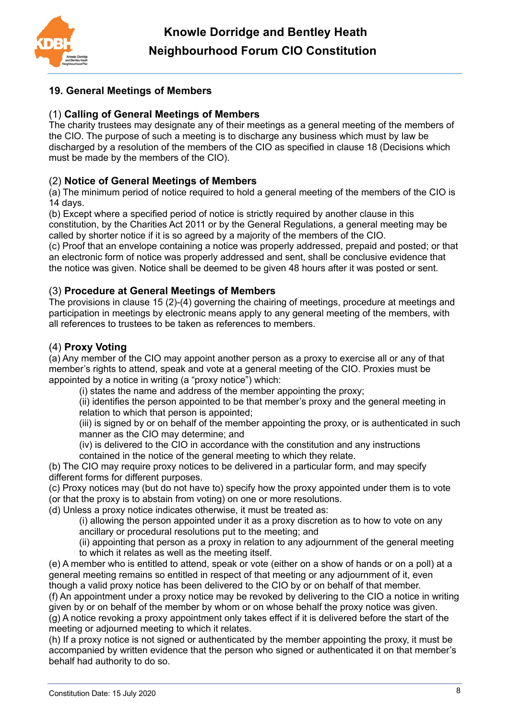

# **19. General Meetings of Members**

# (1) **Calling of General Meetings of Members**

The charity trustees may designate any of their meetings as a general meeting of the members of the CIO. The purpose of such a meeting is to discharge any business which must by law be discharged by a resolution of the members of the CIO as specified in clause 18 (Decisions which must be made by the members of the CIO).

# (2) **Notice of General Meetings of Members**

(a) The minimum period of notice required to hold a general meeting of the members of the CIO is 14 days.

(b) Except where a specified period of notice is strictly required by another clause in this constitution, by the Charities Act 2011 or by the General Regulations, a general meeting may be called by shorter notice if it is so agreed by a majority of the members of the CIO.

(c) Proof that an envelope containing a notice was properly addressed, prepaid and posted; or that an electronic form of notice was properly addressed and sent, shall be conclusive evidence that the notice was given. Notice shall be deemed to be given 48 hours after it was posted or sent.

### (3) **Procedure at General Meetings of Members**

The provisions in clause 15 (2)-(4) governing the chairing of meetings, procedure at meetings and participation in meetings by electronic means apply to any general meeting of the members, with all references to trustees to be taken as references to members.

### (4) **Proxy Voting**

(a) Any member of the CIO may appoint another person as a proxy to exercise all or any of that member's rights to attend, speak and vote at a general meeting of the CIO. Proxies must be appointed by a notice in writing (a "proxy notice") which:

(i) states the name and address of the member appointing the proxy;

(ii) identifies the person appointed to be that member's proxy and the general meeting in relation to which that person is appointed;

(iii) is signed by or on behalf of the member appointing the proxy, or is authenticated in such manner as the CIO may determine; and

(iv) is delivered to the CIO in accordance with the constitution and any instructions contained in the notice of the general meeting to which they relate.

(b) The CIO may require proxy notices to be delivered in a particular form, and may specify different forms for different purposes.

(c) Proxy notices may (but do not have to) specify how the proxy appointed under them is to vote (or that the proxy is to abstain from voting) on one or more resolutions.

(d) Unless a proxy notice indicates otherwise, it must be treated as:

(i) allowing the person appointed under it as a proxy discretion as to how to vote on any ancillary or procedural resolutions put to the meeting; and

(ii) appointing that person as a proxy in relation to any adjournment of the general meeting to which it relates as well as the meeting itself.

(e) A member who is entitled to attend, speak or vote (either on a show of hands or on a poll) at a general meeting remains so entitled in respect of that meeting or any adjournment of it, even though a valid proxy notice has been delivered to the CIO by or on behalf of that member. (f) An appointment under a proxy notice may be revoked by delivering to the CIO a notice in writing given by or on behalf of the member by whom or on whose behalf the proxy notice was given. (g) A notice revoking a proxy appointment only takes effect if it is delivered before the start of the

meeting or adjourned meeting to which it relates.

(h) If a proxy notice is not signed or authenticated by the member appointing the proxy, it must be accompanied by written evidence that the person who signed or authenticated it on that member's behalf had authority to do so.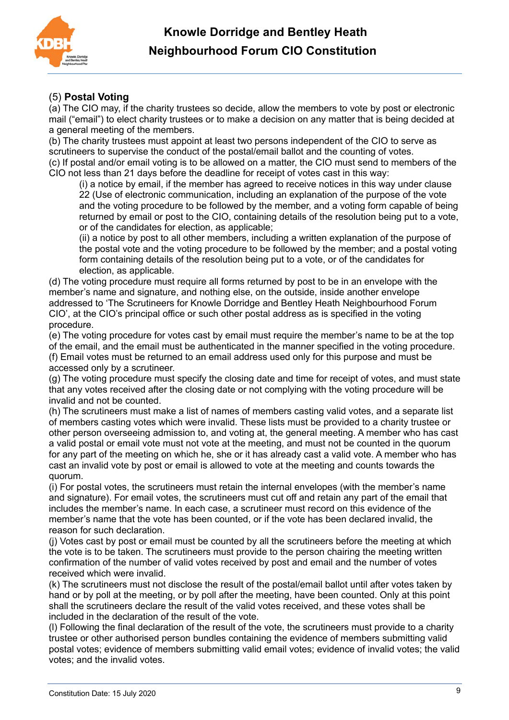

# (5) **Postal Voting**

(a) The CIO may, if the charity trustees so decide, allow the members to vote by post or electronic mail ("email") to elect charity trustees or to make a decision on any matter that is being decided at a general meeting of the members.

(b) The charity trustees must appoint at least two persons independent of the CIO to serve as scrutineers to supervise the conduct of the postal/email ballot and the counting of votes. (c) If postal and/or email voting is to be allowed on a matter, the CIO must send to members of the CIO not less than 21 days before the deadline for receipt of votes cast in this way:

(i) a notice by email, if the member has agreed to receive notices in this way under clause 22 (Use of electronic communication, including an explanation of the purpose of the vote and the voting procedure to be followed by the member, and a voting form capable of being returned by email or post to the CIO, containing details of the resolution being put to a vote, or of the candidates for election, as applicable;

(ii) a notice by post to all other members, including a written explanation of the purpose of the postal vote and the voting procedure to be followed by the member; and a postal voting form containing details of the resolution being put to a vote, or of the candidates for election, as applicable.

(d) The voting procedure must require all forms returned by post to be in an envelope with the member's name and signature, and nothing else, on the outside, inside another envelope addressed to 'The Scrutineers for Knowle Dorridge and Bentley Heath Neighbourhood Forum CIO', at the CIO's principal office or such other postal address as is specified in the voting procedure.

(e) The voting procedure for votes cast by email must require the member's name to be at the top of the email, and the email must be authenticated in the manner specified in the voting procedure. (f) Email votes must be returned to an email address used only for this purpose and must be accessed only by a scrutineer.

(g) The voting procedure must specify the closing date and time for receipt of votes, and must state that any votes received after the closing date or not complying with the voting procedure will be invalid and not be counted.

(h) The scrutineers must make a list of names of members casting valid votes, and a separate list of members casting votes which were invalid. These lists must be provided to a charity trustee or other person overseeing admission to, and voting at, the general meeting. A member who has cast a valid postal or email vote must not vote at the meeting, and must not be counted in the quorum for any part of the meeting on which he, she or it has already cast a valid vote. A member who has cast an invalid vote by post or email is allowed to vote at the meeting and counts towards the quorum.

(i) For postal votes, the scrutineers must retain the internal envelopes (with the member's name and signature). For email votes, the scrutineers must cut off and retain any part of the email that includes the member's name. In each case, a scrutineer must record on this evidence of the member's name that the vote has been counted, or if the vote has been declared invalid, the reason for such declaration.

(j) Votes cast by post or email must be counted by all the scrutineers before the meeting at which the vote is to be taken. The scrutineers must provide to the person chairing the meeting written confirmation of the number of valid votes received by post and email and the number of votes received which were invalid.

(k) The scrutineers must not disclose the result of the postal/email ballot until after votes taken by hand or by poll at the meeting, or by poll after the meeting, have been counted. Only at this point shall the scrutineers declare the result of the valid votes received, and these votes shall be included in the declaration of the result of the vote.

(l) Following the final declaration of the result of the vote, the scrutineers must provide to a charity trustee or other authorised person bundles containing the evidence of members submitting valid postal votes; evidence of members submitting valid email votes; evidence of invalid votes; the valid votes; and the invalid votes.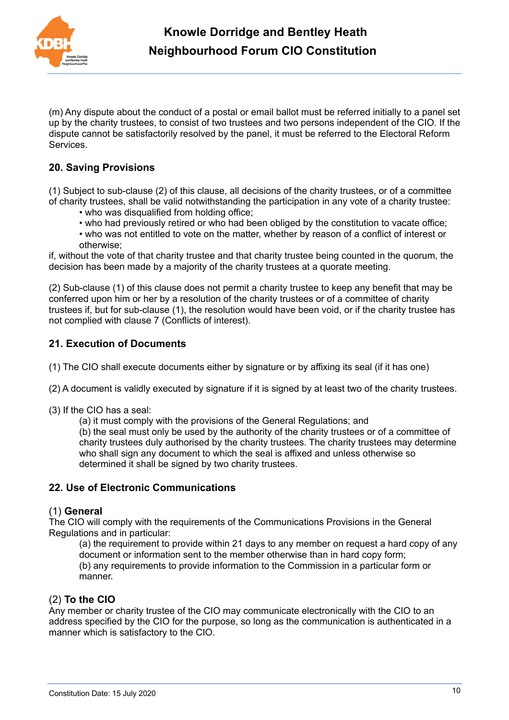

(m) Any dispute about the conduct of a postal or email ballot must be referred initially to a panel set up by the charity trustees, to consist of two trustees and two persons independent of the CIO. If the dispute cannot be satisfactorily resolved by the panel, it must be referred to the Electoral Reform Services.

# **20. Saving Provisions**

(1) Subject to sub-clause (2) of this clause, all decisions of the charity trustees, or of a committee of charity trustees, shall be valid notwithstanding the participation in any vote of a charity trustee:

- who was disqualified from holding office;
- who had previously retired or who had been obliged by the constitution to vacate office;
- who was not entitled to vote on the matter, whether by reason of a conflict of interest or otherwise;

if, without the vote of that charity trustee and that charity trustee being counted in the quorum, the decision has been made by a majority of the charity trustees at a quorate meeting.

(2) Sub-clause (1) of this clause does not permit a charity trustee to keep any benefit that may be conferred upon him or her by a resolution of the charity trustees or of a committee of charity trustees if, but for sub-clause (1), the resolution would have been void, or if the charity trustee has not complied with clause 7 (Conflicts of interest).

# **21. Execution of Documents**

(1) The CIO shall execute documents either by signature or by affixing its seal (if it has one)

- (2) A document is validly executed by signature if it is signed by at least two of the charity trustees.
- (3) If the CIO has a seal:
	- (a) it must comply with the provisions of the General Regulations; and

(b) the seal must only be used by the authority of the charity trustees or of a committee of charity trustees duly authorised by the charity trustees. The charity trustees may determine who shall sign any document to which the seal is affixed and unless otherwise so determined it shall be signed by two charity trustees.

### **22. Use of Electronic Communications**

### (1) **General**

The CIO will comply with the requirements of the Communications Provisions in the General Regulations and in particular:

(a) the requirement to provide within 21 days to any member on request a hard copy of any document or information sent to the member otherwise than in hard copy form; (b) any requirements to provide information to the Commission in a particular form or manner.

### (2) **To the CIO**

Any member or charity trustee of the CIO may communicate electronically with the CIO to an address specified by the CIO for the purpose, so long as the communication is authenticated in a manner which is satisfactory to the CIO.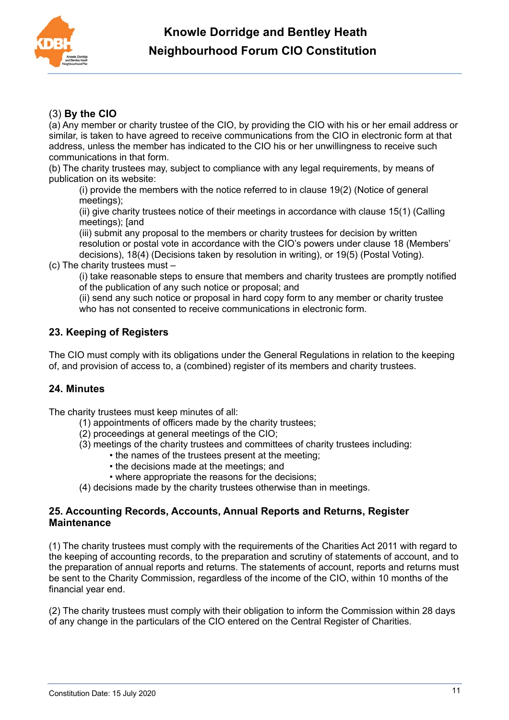

# (3) **By the CIO**

(a) Any member or charity trustee of the CIO, by providing the CIO with his or her email address or similar, is taken to have agreed to receive communications from the CIO in electronic form at that address, unless the member has indicated to the CIO his or her unwillingness to receive such communications in that form.

(b) The charity trustees may, subject to compliance with any legal requirements, by means of publication on its website:

(i) provide the members with the notice referred to in clause 19(2) (Notice of general meetings);

(ii) give charity trustees notice of their meetings in accordance with clause 15(1) (Calling meetings); [and

(iii) submit any proposal to the members or charity trustees for decision by written resolution or postal vote in accordance with the CIO's powers under clause 18 (Members' decisions), 18(4) (Decisions taken by resolution in writing), or 19(5) (Postal Voting).

(c) The charity trustees must –

(i) take reasonable steps to ensure that members and charity trustees are promptly notified of the publication of any such notice or proposal; and

(ii) send any such notice or proposal in hard copy form to any member or charity trustee who has not consented to receive communications in electronic form.

# **23. Keeping of Registers**

The CIO must comply with its obligations under the General Regulations in relation to the keeping of, and provision of access to, a (combined) register of its members and charity trustees.

# **24. Minutes**

The charity trustees must keep minutes of all:

- (1) appointments of officers made by the charity trustees;
- (2) proceedings at general meetings of the CIO;
- (3) meetings of the charity trustees and committees of charity trustees including:
	- the names of the trustees present at the meeting;
	- the decisions made at the meetings; and
	- where appropriate the reasons for the decisions;
- (4) decisions made by the charity trustees otherwise than in meetings.

### **25. Accounting Records, Accounts, Annual Reports and Returns, Register Maintenance**

(1) The charity trustees must comply with the requirements of the Charities Act 2011 with regard to the keeping of accounting records, to the preparation and scrutiny of statements of account, and to the preparation of annual reports and returns. The statements of account, reports and returns must be sent to the Charity Commission, regardless of the income of the CIO, within 10 months of the financial year end.

(2) The charity trustees must comply with their obligation to inform the Commission within 28 days of any change in the particulars of the CIO entered on the Central Register of Charities.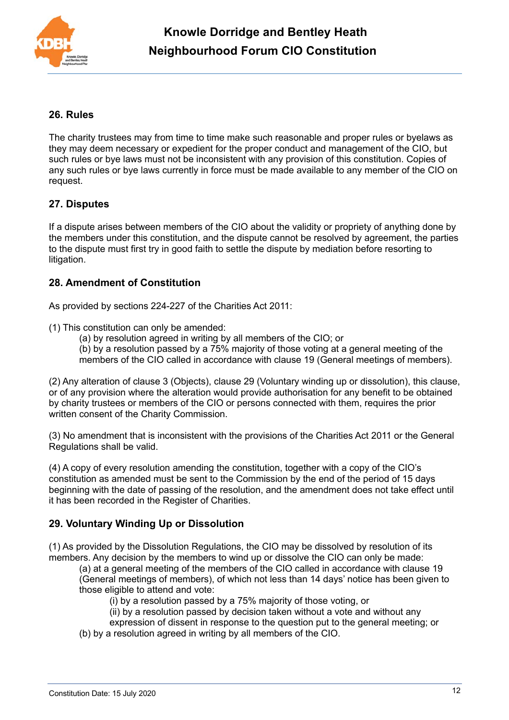

# **26. Rules**

The charity trustees may from time to time make such reasonable and proper rules or byelaws as they may deem necessary or expedient for the proper conduct and management of the CIO, but such rules or bye laws must not be inconsistent with any provision of this constitution. Copies of any such rules or bye laws currently in force must be made available to any member of the CIO on request.

# **27. Disputes**

If a dispute arises between members of the CIO about the validity or propriety of anything done by the members under this constitution, and the dispute cannot be resolved by agreement, the parties to the dispute must first try in good faith to settle the dispute by mediation before resorting to litigation.

# **28. Amendment of Constitution**

As provided by sections 224-227 of the Charities Act 2011:

(1) This constitution can only be amended:

(a) by resolution agreed in writing by all members of the CIO; or

(b) by a resolution passed by a 75% majority of those voting at a general meeting of the members of the CIO called in accordance with clause 19 (General meetings of members).

(2) Any alteration of clause 3 (Objects), clause 29 (Voluntary winding up or dissolution), this clause, or of any provision where the alteration would provide authorisation for any benefit to be obtained by charity trustees or members of the CIO or persons connected with them, requires the prior written consent of the Charity Commission.

(3) No amendment that is inconsistent with the provisions of the Charities Act 2011 or the General Regulations shall be valid.

(4) A copy of every resolution amending the constitution, together with a copy of the CIO's constitution as amended must be sent to the Commission by the end of the period of 15 days beginning with the date of passing of the resolution, and the amendment does not take effect until it has been recorded in the Register of Charities.

# **29. Voluntary Winding Up or Dissolution**

(1) As provided by the Dissolution Regulations, the CIO may be dissolved by resolution of its members. Any decision by the members to wind up or dissolve the CIO can only be made:

(a) at a general meeting of the members of the CIO called in accordance with clause 19 (General meetings of members), of which not less than 14 days' notice has been given to those eligible to attend and vote:

- (i) by a resolution passed by a 75% majority of those voting, or
- (ii) by a resolution passed by decision taken without a vote and without any

expression of dissent in response to the question put to the general meeting; or

(b) by a resolution agreed in writing by all members of the CIO.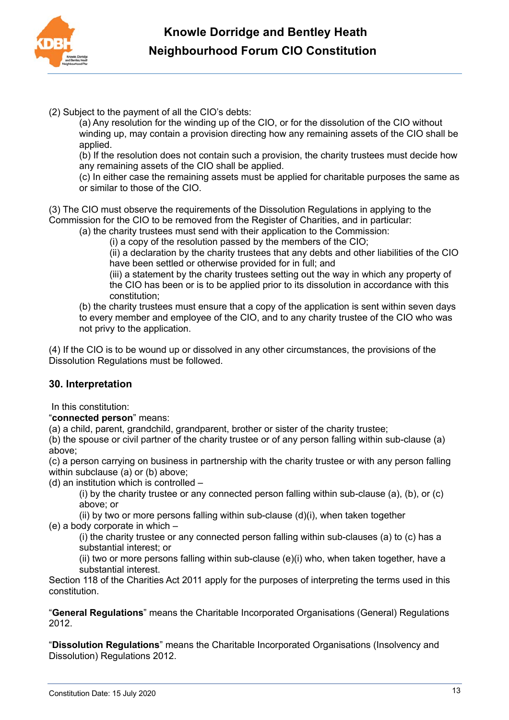

(2) Subject to the payment of all the CIO's debts:

(a) Any resolution for the winding up of the CIO, or for the dissolution of the CIO without winding up, may contain a provision directing how any remaining assets of the CIO shall be applied.

(b) If the resolution does not contain such a provision, the charity trustees must decide how any remaining assets of the CIO shall be applied.

(c) In either case the remaining assets must be applied for charitable purposes the same as or similar to those of the CIO.

(3) The CIO must observe the requirements of the Dissolution Regulations in applying to the Commission for the CIO to be removed from the Register of Charities, and in particular:

(a) the charity trustees must send with their application to the Commission:

(i) a copy of the resolution passed by the members of the CIO;

(ii) a declaration by the charity trustees that any debts and other liabilities of the CIO have been settled or otherwise provided for in full; and

(iii) a statement by the charity trustees setting out the way in which any property of the CIO has been or is to be applied prior to its dissolution in accordance with this constitution;

(b) the charity trustees must ensure that a copy of the application is sent within seven days to every member and employee of the CIO, and to any charity trustee of the CIO who was not privy to the application.

(4) If the CIO is to be wound up or dissolved in any other circumstances, the provisions of the Dissolution Regulations must be followed.

# **30. Interpretation**

In this constitution:

"**connected person**" means:

(a) a child, parent, grandchild, grandparent, brother or sister of the charity trustee;

(b) the spouse or civil partner of the charity trustee or of any person falling within sub-clause (a) above;

(c) a person carrying on business in partnership with the charity trustee or with any person falling within subclause (a) or (b) above;

(d) an institution which is controlled –

(i) by the charity trustee or any connected person falling within sub-clause (a), (b), or (c) above; or

(ii) by two or more persons falling within sub-clause  $(d)(i)$ , when taken together (e) a body corporate in which –

(i) the charity trustee or any connected person falling within sub-clauses (a) to (c) has a substantial interest; or

(ii) two or more persons falling within sub-clause (e)(i) who, when taken together, have a substantial interest.

Section 118 of the Charities Act 2011 apply for the purposes of interpreting the terms used in this constitution.

"**General Regulations**" means the Charitable Incorporated Organisations (General) Regulations 2012.

"**Dissolution Regulations**" means the Charitable Incorporated Organisations (Insolvency and Dissolution) Regulations 2012.